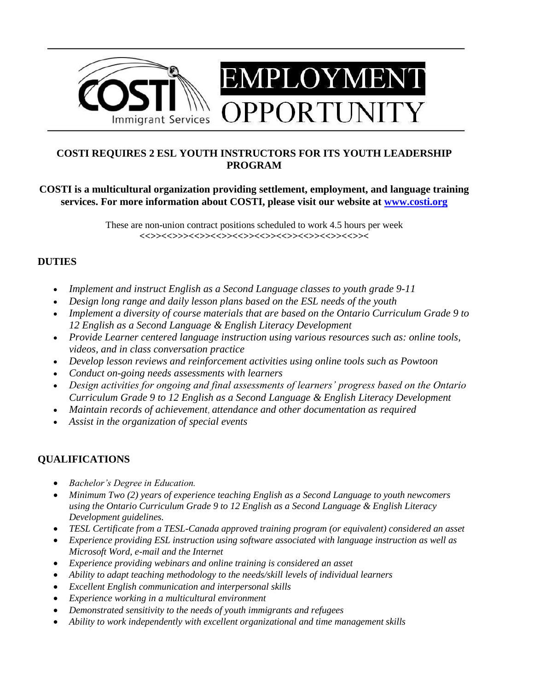

### **COSTI REQUIRES 2 ESL YOUTH INSTRUCTORS FOR ITS YOUTH LEADERSHIP PROGRAM**

#### **COSTI is a multicultural organization providing settlement, employment, and language training services. For more information about COSTI, please visit our website at [www.costi.org](http://www.costi.org/)**

These are non-union contract positions scheduled to work 4.5 hours per week *<<>><<>>><<>><<>><<>><<>><<>><<>><<>><<>><*

## **DUTIES**

- *Implement and instruct English as a Second Language classes to youth grade 9-11*
- *Design long range and daily lesson plans based on the ESL needs of the youth*
- *Implement a diversity of course materials that are based on the Ontario Curriculum Grade 9 to 12 English as a Second Language & English Literacy Development*
- *Provide Learner centered language instruction using various resources such as: online tools, videos, and in class conversation practice*
- *Develop lesson reviews and reinforcement activities using online tools such as Powtoon*
- *Conduct on-going needs assessments with learners*
- *Design activities for ongoing and final assessments of learners' progress based on the Ontario Curriculum Grade 9 to 12 English as a Second Language & English Literacy Development*
- *Maintain records of achievement, attendance and other documentation as required*
- *Assist in the organization of special events*

# **QUALIFICATIONS**

- *Bachelor's Degree in Education.*
- *Minimum Two (2) years of experience teaching English as a Second Language to youth newcomers using the Ontario Curriculum Grade 9 to 12 English as a Second Language & English Literacy Development guidelines.*
- *TESL Certificate from a TESL-Canada approved training program (or equivalent) considered an asset*
- *Experience providing ESL instruction using software associated with language instruction as well as Microsoft Word, e-mail and the Internet*
- *Experience providing webinars and online training is considered an asset*
- *Ability to adapt teaching methodology to the needs/skill levels of individual learners*
- *Excellent English communication and interpersonal skills*
- *Experience working in a multicultural environment*
- *Demonstrated sensitivity to the needs of youth immigrants and refugees*
- *Ability to work independently with excellent organizational and time management skills*